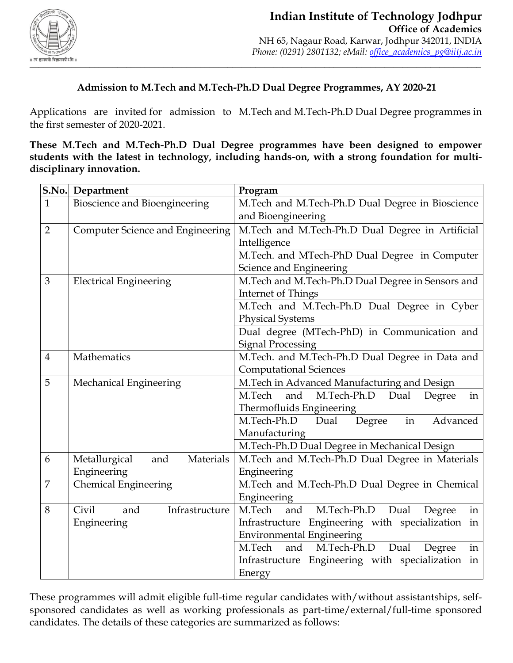

# **Admission to M.Tech and M.Tech-Ph.D Dual Degree Programmes, AY 2020-21**

Applications are invited for admission to M.Tech and M.Tech-Ph.D Dual Degree programmes in the first semester of 2020-2021.

**These M.Tech and M.Tech-Ph.D Dual Degree programmes have been designed to empower students with the latest in technology, including hands-on, with a strong foundation for multidisciplinary innovation.**

|                | S.No. Department                  | Program                                              |
|----------------|-----------------------------------|------------------------------------------------------|
| $\mathbf{1}$   | Bioscience and Bioengineering     | M.Tech and M.Tech-Ph.D Dual Degree in Bioscience     |
|                |                                   | and Bioengineering                                   |
| $\overline{2}$ | Computer Science and Engineering  | M.Tech and M.Tech-Ph.D Dual Degree in Artificial     |
|                |                                   | Intelligence                                         |
|                |                                   | M.Tech. and MTech-PhD Dual Degree in Computer        |
|                |                                   | Science and Engineering                              |
| 3              | <b>Electrical Engineering</b>     | M.Tech and M.Tech-Ph.D Dual Degree in Sensors and    |
|                |                                   | Internet of Things                                   |
|                |                                   | M.Tech and M.Tech-Ph.D Dual Degree in Cyber          |
|                |                                   | <b>Physical Systems</b>                              |
|                |                                   | Dual degree (MTech-PhD) in Communication and         |
|                |                                   | <b>Signal Processing</b>                             |
| $\overline{4}$ | Mathematics                       | M.Tech. and M.Tech-Ph.D Dual Degree in Data and      |
|                |                                   | <b>Computational Sciences</b>                        |
| 5              | Mechanical Engineering            | M.Tech in Advanced Manufacturing and Design          |
|                |                                   | and<br>M.Tech-Ph.D<br>Dual<br>in<br>M.Tech<br>Degree |
|                |                                   | Thermofluids Engineering                             |
|                |                                   | M.Tech-Ph.D<br>in<br>Degree<br>Advanced<br>Dual      |
|                |                                   | Manufacturing                                        |
|                |                                   | M.Tech-Ph.D Dual Degree in Mechanical Design         |
| 6              | Materials<br>Metallurgical<br>and | M.Tech and M.Tech-Ph.D Dual Degree in Materials      |
|                | Engineering                       | Engineering                                          |
| $\overline{7}$ | <b>Chemical Engineering</b>       | M.Tech and M.Tech-Ph.D Dual Degree in Chemical       |
|                |                                   | Engineering                                          |
| 8              | Civil<br>Infrastructure<br>and    | M.Tech<br>M.Tech-Ph.D<br>and<br>Dual<br>in<br>Degree |
|                | Engineering                       | Infrastructure Engineering with specialization in    |
|                |                                   | <b>Environmental Engineering</b>                     |
|                |                                   | M.Tech<br>M.Tech-Ph.D<br>Dual<br>and<br>in<br>Degree |
|                |                                   | Infrastructure Engineering with specialization in    |
|                |                                   | Energy                                               |

These programmes will admit eligible full-time regular candidates with/without assistantships, selfsponsored candidates as well as working professionals as part-time/external/full-time sponsored candidates. The details of these categories are summarized as follows: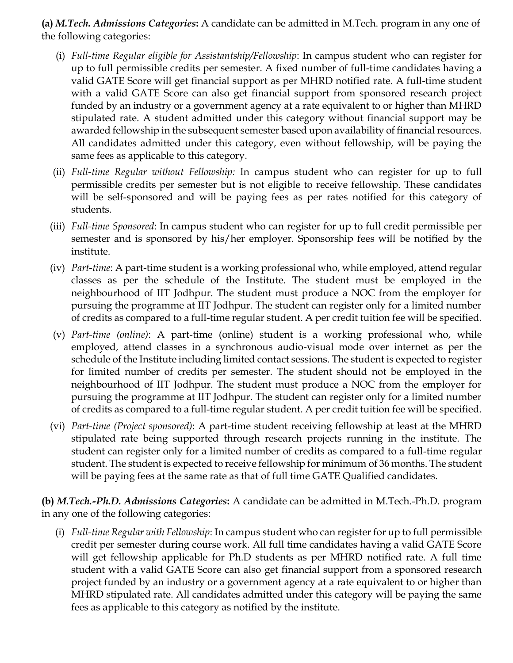**(a)** *M.Tech. Admissions Categories***:** A candidate can be admitted in M.Tech. program in any one of the following categories:

- (i) *Full-time Regular eligible for Assistantship/Fellowship*: In campus student who can register for up to full permissible credits per semester. A fixed number of full-time candidates having a valid GATE Score will get financial support as per MHRD notified rate. A full-time student with a valid GATE Score can also get financial support from sponsored research project funded by an industry or a government agency at a rate equivalent to or higher than MHRD stipulated rate. A student admitted under this category without financial support may be awarded fellowship in the subsequent semester based upon availability of financial resources. All candidates admitted under this category, even without fellowship, will be paying the same fees as applicable to this category.
- (ii) *Full-time Regular without Fellowship:* In campus student who can register for up to full permissible credits per semester but is not eligible to receive fellowship. These candidates will be self-sponsored and will be paying fees as per rates notified for this category of students.
- (iii) *Full-time Sponsored*: In campus student who can register for up to full credit permissible per semester and is sponsored by his/her employer. Sponsorship fees will be notified by the institute.
- (iv) *Part-time*: A part-time student is a working professional who, while employed, attend regular classes as per the schedule of the Institute. The student must be employed in the neighbourhood of IIT Jodhpur. The student must produce a NOC from the employer for pursuing the programme at IIT Jodhpur. The student can register only for a limited number of credits as compared to a full-time regular student. A per credit tuition fee will be specified.
- (v) *Part-time (online)*: A part-time (online) student is a working professional who, while employed, attend classes in a synchronous audio-visual mode over internet as per the schedule of the Institute including limited contact sessions. The student is expected to register for limited number of credits per semester. The student should not be employed in the neighbourhood of IIT Jodhpur. The student must produce a NOC from the employer for pursuing the programme at IIT Jodhpur. The student can register only for a limited number of credits as compared to a full-time regular student. A per credit tuition fee will be specified.
- (vi) *Part-time (Project sponsored)*: A part-time student receiving fellowship at least at the MHRD stipulated rate being supported through research projects running in the institute. The student can register only for a limited number of credits as compared to a full-time regular student. The student is expected to receive fellowship for minimum of 36 months. The student will be paying fees at the same rate as that of full time GATE Qualified candidates.

**(b)** *M.Tech.-Ph.D. Admissions Categories***:** A candidate can be admitted in M.Tech.-Ph.D. program in any one of the following categories:

(i) *Full-time Regular with Fellowship*: In campus student who can register for up to full permissible credit per semester during course work. All full time candidates having a valid GATE Score will get fellowship applicable for Ph.D students as per MHRD notified rate. A full time student with a valid GATE Score can also get financial support from a sponsored research project funded by an industry or a government agency at a rate equivalent to or higher than MHRD stipulated rate. All candidates admitted under this category will be paying the same fees as applicable to this category as notified by the institute.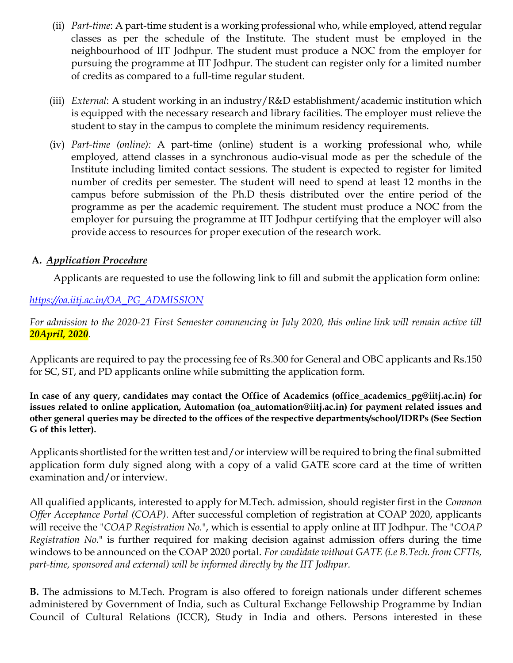- (ii) *Part-time*: A part-time student is a working professional who, while employed, attend regular classes as per the schedule of the Institute. The student must be employed in the neighbourhood of IIT Jodhpur. The student must produce a NOC from the employer for pursuing the programme at IIT Jodhpur. The student can register only for a limited number of credits as compared to a full-time regular student.
- (iii) *External*: A student working in an industry/R&D establishment/academic institution which is equipped with the necessary research and library facilities. The employer must relieve the student to stay in the campus to complete the minimum residency requirements.
- (iv) *Part-time (online):* A part-time (online) student is a working professional who, while employed, attend classes in a synchronous audio-visual mode as per the schedule of the Institute including limited contact sessions. The student is expected to register for limited number of credits per semester. The student will need to spend at least 12 months in the campus before submission of the Ph.D thesis distributed over the entire period of the programme as per the academic requirement. The student must produce a NOC from the employer for pursuing the programme at IIT Jodhpur certifying that the employer will also provide access to resources for proper execution of the research work.

## **A.** *Application Procedure*

Applicants are requested to use the following link to fill and submit the application form online:

# *[https://oa.iitj.ac.in/OA\\_PG\\_ADMISSION](https://oa.iitj.ac.in/OA_PG_ADMISSION)*

*For admission to the 2020-21 First Semester commencing in July 2020, this online link will remain active till 20April, 2020.*

Applicants are required to pay the processing fee of Rs.300 for General and OBC applicants and Rs.150 for SC, ST, and PD applicants online while submitting the application form.

**In case of any query, candidates may contact the Office of Academics (office\_academics\_pg@iitj.ac.in) for issues related to online application, Automation (oa\_automation@iitj.ac.in) for payment related issues and other general queries may be directed to the offices of the respective departments/school/IDRPs (See Section G of this letter).**

Applicants shortlisted for the written test and/or interview will be required to bring the final submitted application form duly signed along with a copy of a valid GATE score card at the time of written examination and/or interview.

All qualified applicants, interested to apply for M.Tech. admission, should register first in the *Common Offer Acceptance Portal (COAP)*. After successful completion of registration at COAP 2020, applicants will receive the "*COAP Registration No.*", which is essential to apply online at IIT Jodhpur. The "*COAP Registration No.*" is further required for making decision against admission offers during the time windows to be announced on the COAP 2020 portal. *For candidate without GATE (i.e B.Tech. from CFTIs, part-time, sponsored and external) will be informed directly by the IIT Jodhpur.*

**B.** The admissions to M.Tech. Program is also offered to foreign nationals under different schemes administered by Government of India, such as Cultural Exchange Fellowship Programme by Indian Council of Cultural Relations (ICCR), Study in India and others. Persons interested in these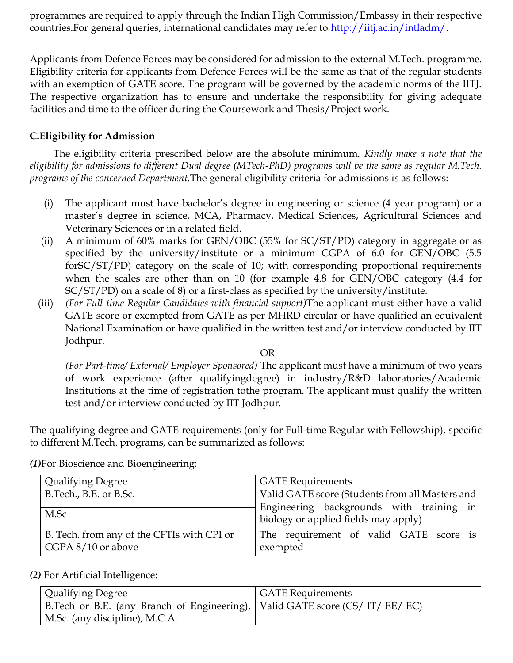programmes are required to apply through the Indian High Commission/Embassy in their respective countries. For general queries, international candidates may refer to [http://iitj.ac.in/intladm/.](http://iitj.ac.in/intladm/)

Applicants from Defence Forces may be considered for admission to the external M.Tech. programme. Eligibility criteria for applicants from Defence Forces will be the same as that of the regular students with an exemption of GATE score. The program will be governed by the academic norms of the IITJ. The respective organization has to ensure and undertake the responsibility for giving adequate facilities and time to the officer during the Coursework and Thesis/Project work.

## **C.Eligibility for Admission**

The eligibility criteria prescribed below are the absolute minimum. *Kindly make a note that the eligibility for admissions to different Dual degree (MTech-PhD) programs will be the same as regular M.Tech. programs of the concerned Department.*The general eligibility criteria for admissions is as follows:

- (i) The applicant must have bachelor's degree in engineering or science (4 year program) or a master's degree in science, MCA, Pharmacy, Medical Sciences, Agricultural Sciences and Veterinary Sciences or in a related field.
- (ii) A minimum of 60% marks for GEN/OBC (55% for SC/ST/PD) category in aggregate or as specified by the university/institute or a minimum CGPA of 6.0 for GEN/OBC (5.5 forSC/ST/PD) category on the scale of 10; with corresponding proportional requirements when the scales are other than on 10 (for example 4.8 for GEN/OBC category (4.4 for SC/ST/PD) on a scale of 8) or a first-class as specified by the university/institute.
- (iii) *(For Full time Regular Candidates with financial support)*The applicant must either have a valid GATE score or exempted from GATE as per MHRD circular or have qualified an equivalent National Examination or have qualified in the written test and/or interview conducted by IIT Jodhpur.

#### OR

*(For Part-time/ External/ Employer Sponsored)* The applicant must have a minimum of two years of work experience (after qualifyingdegree) in industry/R&D laboratories/Academic Institutions at the time of registration tothe program. The applicant must qualify the written test and/or interview conducted by IIT Jodhpur.

The qualifying degree and GATE requirements (only for Full-time Regular with Fellowship), specific to different M.Tech. programs, can be summarized as follows:

| <b>Qualifying Degree</b>                                         | <b>GATE</b> Requirements                                                         |
|------------------------------------------------------------------|----------------------------------------------------------------------------------|
| B.Tech., B.E. or B.Sc.                                           | Valid GATE score (Students from all Masters and                                  |
| M.Sc                                                             | Engineering backgrounds with training in<br>biology or applied fields may apply) |
| B. Tech. from any of the CFTIs with CPI or<br>CGPA 8/10 or above | The requirement of valid GATE score is<br>exempted                               |

*(1)*For Bioscience and Bioengineering:

### *(2)* For Artificial Intelligence:

| Qualifying Degree                                                            | <b>GATE Requirements</b> |
|------------------------------------------------------------------------------|--------------------------|
| B.Tech or B.E. (any Branch of Engineering),   Valid GATE score (CS/IT/EE/EC) |                          |
| M.Sc. (any discipline), M.C.A.                                               |                          |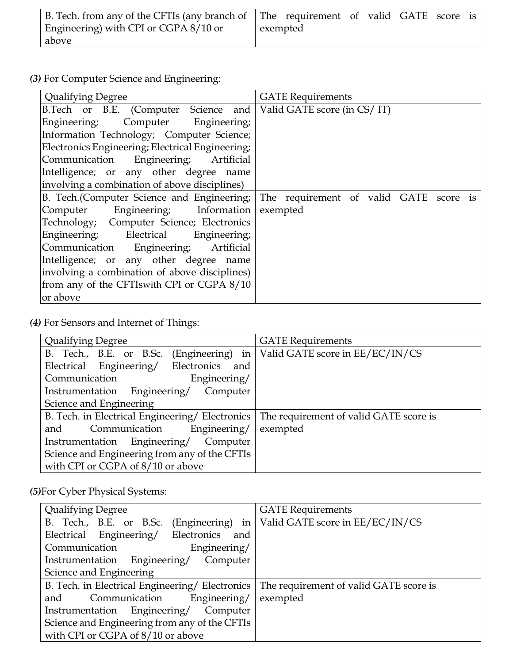|                                       | B. Tech. from any of the CFTIs (any branch of The requirement of valid GATE score is |  |
|---------------------------------------|--------------------------------------------------------------------------------------|--|
| Engineering) with CPI or CGPA 8/10 or | exempted                                                                             |  |
| above                                 |                                                                                      |  |

*(3)* For Computer Science and Engineering:

| <b>Qualifying Degree</b>                                         | <b>GATE Requirements</b>                  |
|------------------------------------------------------------------|-------------------------------------------|
| B.Tech or B.E. (Computer Science and Valid GATE score (in CS/IT) |                                           |
| Computer Engineering;<br>Engineering;                            |                                           |
| Information Technology; Computer Science;                        |                                           |
| Electronics Engineering; Electrical Engineering;                 |                                           |
| Communication Engineering; Artificial                            |                                           |
| Intelligence; or any other degree name                           |                                           |
| involving a combination of above disciplines)                    |                                           |
| B. Tech. (Computer Science and Engineering;                      | The requirement of valid GATE<br>score is |
| Computer Engineering; Information                                | exempted                                  |
| Technology; Computer Science; Electronics                        |                                           |
| Engineering; Electrical Engineering;                             |                                           |
| Communication Engineering; Artificial                            |                                           |
| Intelligence; or any other degree name                           |                                           |
| involving a combination of above disciplines)                    |                                           |
| from any of the CFTIswith CPI or CGPA 8/10                       |                                           |
| or above                                                         |                                           |

*(4)* For Sensors and Internet of Things:

| <b>Qualifying Degree</b>                        | <b>GATE</b> Requirements               |
|-------------------------------------------------|----------------------------------------|
| B. Tech., B.E. or B.Sc. (Engineering) in        | Valid GATE score in EE/EC/IN/CS        |
| Electrical Engineering/ Electronics and         |                                        |
| Communication<br>Engineering/                   |                                        |
| Instrumentation Engineering/ Computer           |                                        |
| Science and Engineering                         |                                        |
| B. Tech. in Electrical Engineering/ Electronics | The requirement of valid GATE score is |
| Communication Engineering/<br>and               | exempted                               |
| Instrumentation Engineering/ Computer           |                                        |
| Science and Engineering from any of the CFTIs   |                                        |
| with CPI or CGPA of 8/10 or above               |                                        |

*(5)*For Cyber Physical Systems:

| <b>Qualifying Degree</b>                        | <b>GATE</b> Requirements               |
|-------------------------------------------------|----------------------------------------|
| B. Tech., B.E. or B.Sc. (Engineering) in        | Valid GATE score in EE/EC/IN/CS        |
| Electrical Engineering/ Electronics and         |                                        |
| Communication<br>Engineering/                   |                                        |
| Instrumentation Engineering/<br>Computer        |                                        |
| Science and Engineering                         |                                        |
| B. Tech. in Electrical Engineering/ Electronics | The requirement of valid GATE score is |
| Engineering/<br>Communication<br>and            | exempted                               |
| Instrumentation Engineering/ Computer           |                                        |
| Science and Engineering from any of the CFTIs   |                                        |
| with CPI or CGPA of 8/10 or above               |                                        |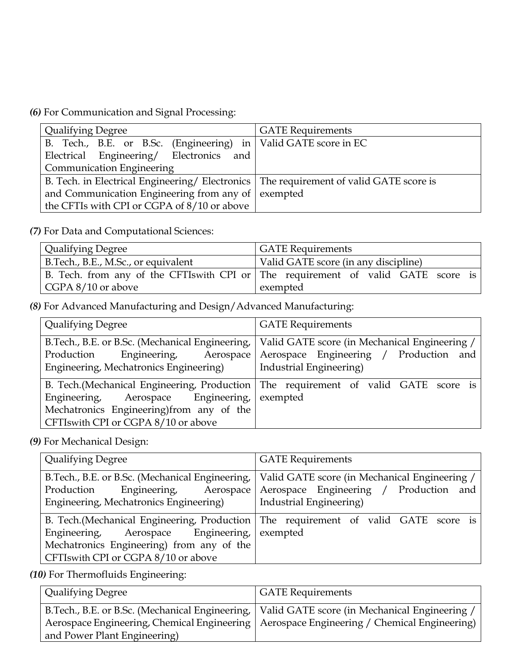*(6)* For Communication and Signal Processing:

| <b>Qualifying Degree</b>                                                                | <b>GATE</b> Requirements |
|-----------------------------------------------------------------------------------------|--------------------------|
| B. Tech., B.E. or B.Sc. (Engineering) in   Valid GATE score in EC                       |                          |
| Electrical Engineering/ Electronics<br>and                                              |                          |
| <b>Communication Engineering</b>                                                        |                          |
| B. Tech. in Electrical Engineering/Electronics   The requirement of valid GATE score is |                          |
| and Communication Engineering from any of $\vert$ exempted                              |                          |
| the CFTIs with CPI or CGPA of 8/10 or above                                             |                          |

*(7)* For Data and Computational Sciences:

| Qualifying Degree                   | <b>GATE Requirements</b>                                                         |
|-------------------------------------|----------------------------------------------------------------------------------|
| B.Tech., B.E., M.Sc., or equivalent | Valid GATE score (in any discipline)                                             |
|                                     | B. Tech. from any of the CFTIswith CPI or The requirement of valid GATE score is |
| $\vert$ CGPA 8/10 or above          | exempted                                                                         |

*(8)* For Advanced Manufacturing and Design/Advanced Manufacturing:

| <b>Qualifying Degree</b>                                                                                                         | <b>GATE Requirements</b>                                                                                                                                             |
|----------------------------------------------------------------------------------------------------------------------------------|----------------------------------------------------------------------------------------------------------------------------------------------------------------------|
| Engineering, Aerospace<br>Production<br>Engineering, Mechatronics Engineering)                                                   | B.Tech., B.E. or B.Sc. (Mechanical Engineering,   Valid GATE score (in Mechanical Engineering /<br>Aerospace Engineering / Production and<br>Industrial Engineering) |
| Engineering, Aerospace Engineering, exempted<br>Mechatronics Engineering) from any of the<br>CFTIswith CPI or CGPA 8/10 or above | B. Tech. (Mechanical Engineering, Production   The requirement of valid GATE score is                                                                                |

*(9)* For Mechanical Design:

| <b>Qualifying Degree</b>                                                                                                             | <b>GATE Requirements</b>                                                                                           |
|--------------------------------------------------------------------------------------------------------------------------------------|--------------------------------------------------------------------------------------------------------------------|
| B.Tech., B.E. or B.Sc. (Mechanical Engineering,<br>Production<br>Engineering,<br>Aerospace<br>Engineering, Mechatronics Engineering) | Valid GATE score (in Mechanical Engineering /<br>Aerospace Engineering / Production and<br>Industrial Engineering) |
| Engineering, Aerospace Engineering,<br>Mechatronics Engineering) from any of the<br>CFTIswith CPI or CGPA 8/10 or above              | B. Tech. (Mechanical Engineering, Production   The requirement of valid GATE score is<br>exempted                  |

*(10)* For Thermofluids Engineering:

| Qualifying Degree            | <b>GATE Requirements</b>                                                                        |
|------------------------------|-------------------------------------------------------------------------------------------------|
|                              | B.Tech., B.E. or B.Sc. (Mechanical Engineering,   Valid GATE score (in Mechanical Engineering / |
|                              | Aerospace Engineering, Chemical Engineering   Aerospace Engineering / Chemical Engineering)     |
| and Power Plant Engineering) |                                                                                                 |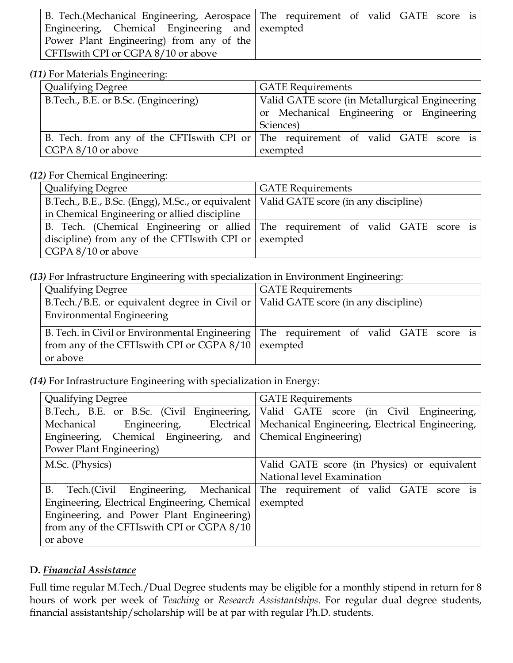|                                                | B. Tech. (Mechanical Engineering, Aerospace   The requirement of valid GATE score is |
|------------------------------------------------|--------------------------------------------------------------------------------------|
| Engineering, Chemical Engineering and exempted |                                                                                      |
| Power Plant Engineering) from any of the       |                                                                                      |
| CFTI swith CPI or CGPA 8/10 or above           |                                                                                      |

#### *(11)* For Materials Engineering:

| <b>Qualifying Degree</b>             | <b>GATE</b> Requirements                                                         |
|--------------------------------------|----------------------------------------------------------------------------------|
| B.Tech., B.E. or B.Sc. (Engineering) | Valid GATE score (in Metallurgical Engineering                                   |
|                                      | or Mechanical Engineering or Engineering                                         |
|                                      | Sciences)                                                                        |
|                                      | B. Tech. from any of the CFTIswith CPI or The requirement of valid GATE score is |
| CGPA 8/10 or above                   | exempted                                                                         |

#### *(12)* For Chemical Engineering:

| <b>Qualifying Degree</b>                                                                 | <b>GATE</b> Requirements                                                        |
|------------------------------------------------------------------------------------------|---------------------------------------------------------------------------------|
|                                                                                          |                                                                                 |
| B.Tech., B.E., B.Sc. (Engg), M.Sc., or equivalent   Valid GATE score (in any discipline) |                                                                                 |
| in Chemical Engineering or allied discipline                                             |                                                                                 |
|                                                                                          | B. Tech. (Chemical Engineering or allied The requirement of valid GATE score is |
| discipline) from any of the CFTIswith CPI or $\vert$ exempted                            |                                                                                 |
| CGPA 8/10 or above                                                                       |                                                                                 |

#### *(13)* For Infrastructure Engineering with specialization in Environment Engineering:

| <b>Qualifying Degree</b>                                                             | <b>GATE</b> Requirements                                                                |  |
|--------------------------------------------------------------------------------------|-----------------------------------------------------------------------------------------|--|
| B.Tech./B.E. or equivalent degree in Civil or   Valid GATE score (in any discipline) |                                                                                         |  |
| <b>Environmental Engineering</b>                                                     |                                                                                         |  |
|                                                                                      | B. Tech. in Civil or Environmental Engineering   The requirement of valid GATE score is |  |
| from any of the CFTIswith CPI or CGPA 8/10 exempted                                  |                                                                                         |  |
| or above                                                                             |                                                                                         |  |

### *(14)* For Infrastructure Engineering with specialization in Energy:

| <b>Qualifying Degree</b>                                     | <b>GATE Requirements</b>                        |
|--------------------------------------------------------------|-------------------------------------------------|
| B.Tech., B.E. or B.Sc. (Civil Engineering,                   | Valid GATE score (in Civil Engineering,         |
| Mechanical Engineering, Electrical                           | Mechanical Engineering, Electrical Engineering, |
| Engineering, Chemical Engineering, and Chemical Engineering) |                                                 |
| Power Plant Engineering)                                     |                                                 |
| M.Sc. (Physics)                                              | Valid GATE score (in Physics) or equivalent     |
|                                                              | National level Examination                      |
| B. Tech.(Civil Engineering, Mechanical                       | The requirement of valid GATE score is          |
| Engineering, Electrical Engineering, Chemical                | exempted                                        |
| Engineering, and Power Plant Engineering)                    |                                                 |
| from any of the CFTIswith CPI or CGPA 8/10                   |                                                 |
| or above                                                     |                                                 |

### **D.** *Financial Assistance*

Full time regular M.Tech./Dual Degree students may be eligible for a monthly stipend in return for 8 hours of work per week of *Teaching* or *Research Assistantships*. For regular dual degree students, financial assistantship/scholarship will be at par with regular Ph.D. students.